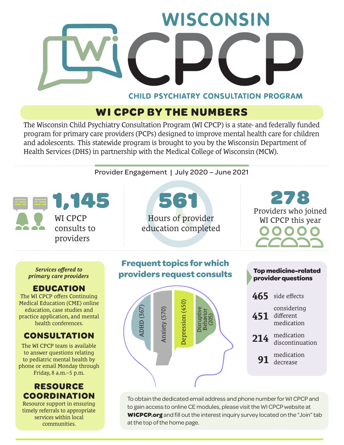

## **CHILD PSYCHIATRY CONSULTATION PROGRAM**

# **WI CPCP BY THE NUMBERS**

The Wisconsin Child Psychiatry Consultation Program (WI CPCP) is a state- and federally funded program for primary care providers (PCPs) designed to improve mental health care for children and adolescents. This statewide program is brought to you by the Wisconsin Department of Health Services (DHS) in partnership with the Medical College of Wisconsin (MCW).

Provider Engagement | July 2020 – June 2021



Hours of provider education completed 561

278 Providers who joined WI CPCP this year

*Services offered to primary care providers*

### **EDUCATION**

The WI CPCP offers Continuing Medical Education (CME) online education, case studies and practice application, and mental health conferences.

## **CONSULTATION**

The WI CPCP team is available to answer questions relating to pediatric mental health by phone or email Monday through Friday, 8 a.m.–5 p.m.

## **RESOURCE COORDINATION**

Resource support in ensuring timely referrals to appropriate services within local communities.

**Frequent topics for which providers request consults** Depression (450) Depression (450)

Disruptive Behavior (205)

Anxiety (570)

nxiety (570)

ADHD (367)

**ADHD (367** 

# **Top medicine-related provider questions 465** side effects considering

- **451** different medication
- **214** medication discontinuation
	- **91** decrease

To obtain the dedicated email address and phone number for WI CPCP and to gain access to online CE modules, please visit the WI CPCP website at **[WICPCP.org](http://wicpcp.org)** and fill out the interest inquiry survey located on the "Join" tab at the top of the home page.